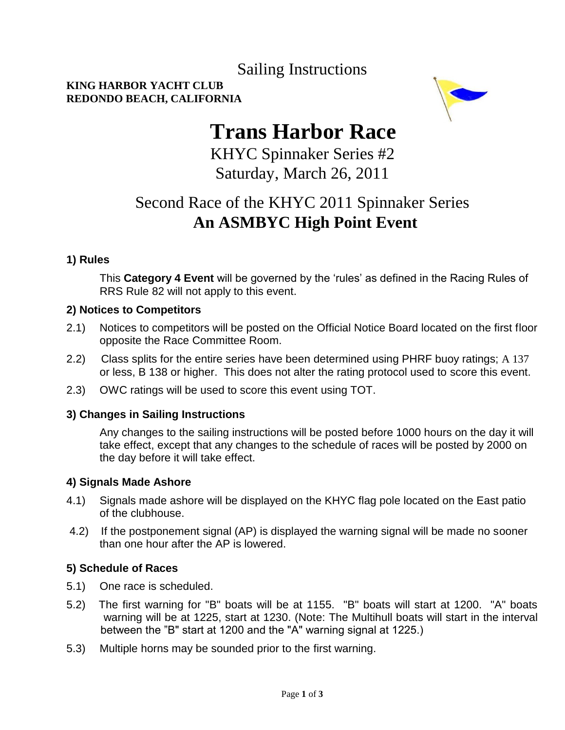### Sailing Instructions

#### **KING HARBOR YACHT CLUB REDONDO BEACH, CALIFORNIA**



# **Trans Harbor Race**

KHYC Spinnaker Series #2 Saturday, March 26, 2011

### Second Race of the KHYC 2011 Spinnaker Series  **An ASMBYC High Point Event**

#### **1) Rules**

This **Category 4 Event** will be governed by the 'rules' as defined in the Racing Rules of RRS Rule 82 will not apply to this event.

#### **2) Notices to Competitors**

- 2.1) Notices to competitors will be posted on the Official Notice Board located on the first floor opposite the Race Committee Room.
- 2.2) Class splits for the entire series have been determined using PHRF buoy ratings; A 137 or less, B 138 or higher. This does not alter the rating protocol used to score this event.
- 2.3) OWC ratings will be used to score this event using TOT.

#### **3) Changes in Sailing Instructions**

Any changes to the sailing instructions will be posted before 1000 hours on the day it will take effect, except that any changes to the schedule of races will be posted by 2000 on the day before it will take effect.

#### **4) Signals Made Ashore**

- 4.1) Signals made ashore will be displayed on the KHYC flag pole located on the East patio of the clubhouse.
- 4.2) If the postponement signal (AP) is displayed the warning signal will be made no sooner than one hour after the AP is lowered.

#### **5) Schedule of Races**

- 5.1) One race is scheduled.
- 5.2) The first warning for "B" boats will be at 1155. "B" boats will start at 1200. "A" boats warning will be at 1225, start at 1230. (Note: The Multihull boats will start in the interval between the "B" start at 1200 and the "A" warning signal at 1225.)
- 5.3) Multiple horns may be sounded prior to the first warning.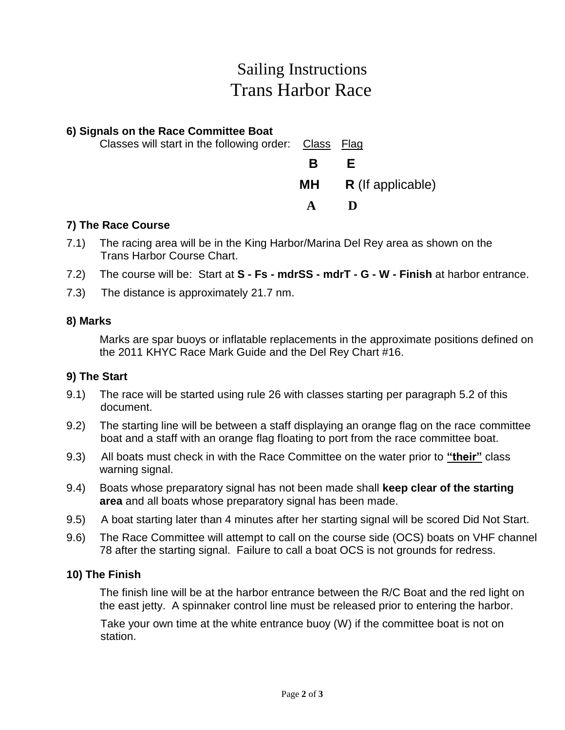# Sailing Instructions Trans Harbor Race

### **6) Signals on the Race Committee Boat** Classes will start in the following order: Class Flag **B E MH R** (If applicable)

#### **7) The Race Course**

7.1) The racing area will be in the King Harbor/Marina Del Rey area as shown on the Trans Harbor Course Chart.

 **A D**

- 7.2) The course will be: Start at **S - Fs - mdrSS - mdrT - G - W - Finish** at harbor entrance.
- 7.3) The distance is approximately 21.7 nm.

#### **8) Marks**

Marks are spar buoys or inflatable replacements in the approximate positions defined on the 2011 KHYC Race Mark Guide and the Del Rey Chart #16.

#### **9) The Start**

- 9.1) The race will be started using rule 26 with classes starting per paragraph 5.2 of this document.
- 9.2) The starting line will be between a staff displaying an orange flag on the race committee boat and a staff with an orange flag floating to port from the race committee boat.
- 9.3) All boats must check in with the Race Committee on the water prior to **"their"** class warning signal.
- 9.4) Boats whose preparatory signal has not been made shall **keep clear of the starting area** and all boats whose preparatory signal has been made.
- 9.5) A boat starting later than 4 minutes after her starting signal will be scored Did Not Start.
- 9.6) The Race Committee will attempt to call on the course side (OCS) boats on VHF channel 78 after the starting signal. Failure to call a boat OCS is not grounds for redress.

#### **10) The Finish**

The finish line will be at the harbor entrance between the R/C Boat and the red light on the east jetty. A spinnaker control line must be released prior to entering the harbor.

 Take your own time at the white entrance buoy (W) if the committee boat is not on station.